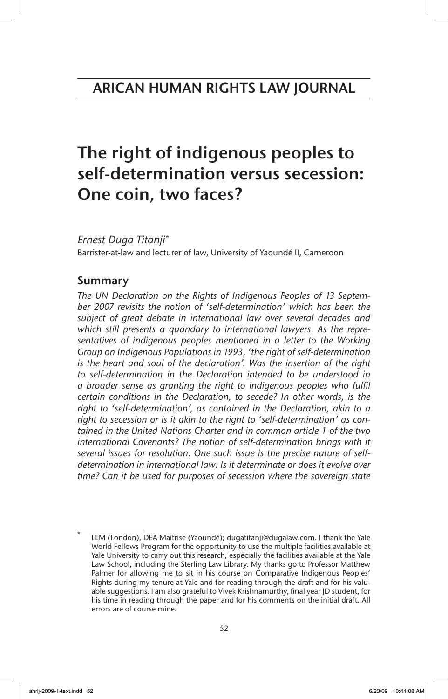# The right of indigenous peoples to self-determination versus secession: One coin, two faces?

*Ernest Duga Titanji\**

Barrister-at-law and lecturer of law, University of Yaoundé II, Cameroon

# Summary

*The UN Declaration on the Rights of Indigenous Peoples of 13 September 2007 revisits the notion of 'self-determination' which has been the subject of great debate in international law over several decades and which still presents a quandary to international lawyers. As the representatives of indigenous peoples mentioned in a letter to the Working Group on Indigenous Populations in 1993, 'the right of self-determination is the heart and soul of the declaration'. Was the insertion of the right to self-determination in the Declaration intended to be understood in a broader sense as granting the right to indigenous peoples who fulfil certain conditions in the Declaration, to secede? In other words, is the right to 'self-determination', as contained in the Declaration, akin to a right to secession or is it akin to the right to 'self-determination' as contained in the United Nations Charter and in common article 1 of the two*  international Covenants? The notion of self-determination brings with it *several issues for resolution. One such issue is the precise nature of selfdetermination in international law: Is it determinate or does it evolve over time? Can it be used for purposes of secession where the sovereign state*

LLM (London), DEA Maitrise (Yaoundé); dugatitanji@dugalaw.com. I thank the Yale World Fellows Program for the opportunity to use the multiple facilities available at Yale University to carry out this research, especially the facilities available at the Yale Law School, including the Sterling Law Library. My thanks go to Professor Matthew Palmer for allowing me to sit in his course on Comparative Indigenous Peoples' Rights during my tenure at Yale and for reading through the draft and for his valuable suggestions. I am also grateful to Vivek Krishnamurthy, final year JD student, for his time in reading through the paper and for his comments on the initial draft. All errors are of course mine.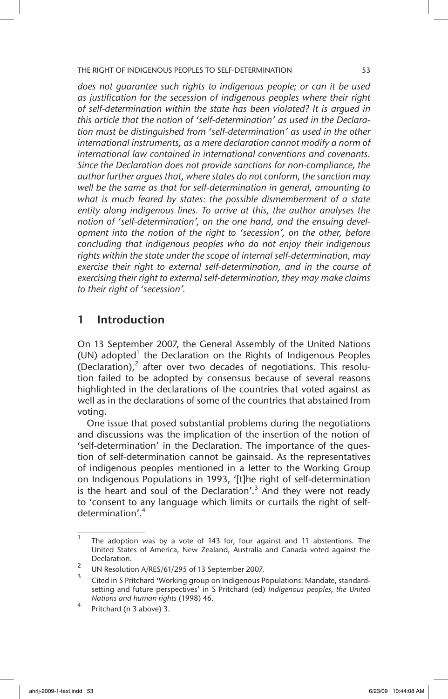*does not guarantee such rights to indigenous people; or can it be used as justification for the secession of indigenous peoples where their right of self-determination within the state has been violated? It is argued in this article that the notion of 'self-determination' as used in the Declaration must be distinguished from 'self-determination' as used in the other international instruments, as a mere declaration cannot modify a norm of international law contained in international conventions and covenants. Since the Declaration does not provide sanctions for non-compliance, the author further argues that, where states do not conform, the sanction may well be the same as that for self-determination in general, amounting to what is much feared by states: the possible dismemberment of a state entity along indigenous lines. To arrive at this, the author analyses the notion of 'self-determination', on the one hand, and the ensuing development into the notion of the right to 'secession', on the other, before concluding that indigenous peoples who do not enjoy their indigenous rights within the state under the scope of internal self-determination, may exercise their right to external self-determination, and in the course of exercising their right to external self-determination, they may make claims to their right of 'secession'.*

## 1 Introduction

On 13 September 2007, the General Assembly of the United Nations (UN) adopted<sup>1</sup> the Declaration on the Rights of Indigenous Peoples (Declaration),<sup>2</sup> after over two decades of negotiations. This resolution failed to be adopted by consensus because of several reasons highlighted in the declarations of the countries that voted against as well as in the declarations of some of the countries that abstained from voting.

One issue that posed substantial problems during the negotiations and discussions was the implication of the insertion of the notion of 'self-determination' in the Declaration. The importance of the question of self-determination cannot be gainsaid. As the representatives of indigenous peoples mentioned in a letter to the Working Group on Indigenous Populations in 1993, '[t]he right of self-determination is the heart and soul of the Declaration'.<sup>3</sup> And they were not ready to 'consent to any language which limits or curtails the right of selfdetermination'.4

 $\overline{1}$  The adoption was by a vote of 143 for, four against and 11 abstentions. The United States of America, New Zealand, Australia and Canada voted against the Declaration.

<sup>&</sup>lt;sup>2</sup> UN Resolution A/RES/61/295 of 13 September 2007.

<sup>3</sup> Cited in S Pritchard 'Working group on Indigenous Populations: Mandate, standardsetting and future perspectives' in S Pritchard (ed) *Indigenous peoples, the United Nations and human rights* (1998) 46.

Pritchard (n 3 above) 3.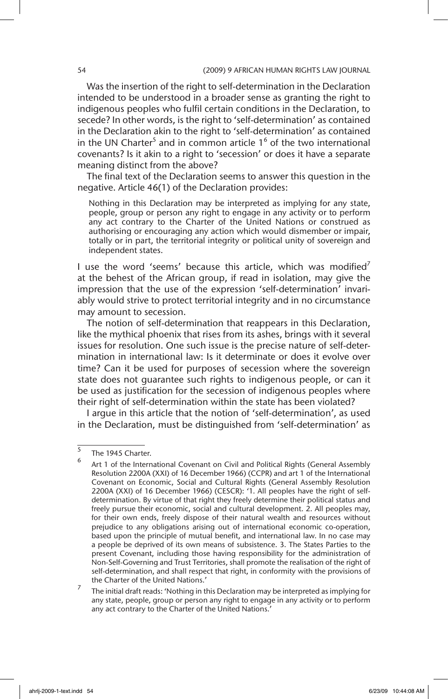Was the insertion of the right to self-determination in the Declaration intended to be understood in a broader sense as granting the right to indigenous peoples who fulfil certain conditions in the Declaration, to secede? In other words, is the right to 'self-determination' as contained in the Declaration akin to the right to 'self-determination' as contained in the UN Charter<sup>5</sup> and in common article  $1<sup>6</sup>$  of the two international covenants? Is it akin to a right to 'secession' or does it have a separate meaning distinct from the above?

The final text of the Declaration seems to answer this question in the negative. Article 46(1) of the Declaration provides:

Nothing in this Declaration may be interpreted as implying for any state, people, group or person any right to engage in any activity or to perform any act contrary to the Charter of the United Nations or construed as authorising or encouraging any action which would dismember or impair, totally or in part, the territorial integrity or political unity of sovereign and independent states.

I use the word 'seems' because this article, which was modified<sup>7</sup> at the behest of the African group, if read in isolation, may give the impression that the use of the expression 'self-determination' invariably would strive to protect territorial integrity and in no circumstance may amount to secession.

The notion of self-determination that reappears in this Declaration, like the mythical phoenix that rises from its ashes, brings with it several issues for resolution. One such issue is the precise nature of self-determination in international law: Is it determinate or does it evolve over time? Can it be used for purposes of secession where the sovereign state does not guarantee such rights to indigenous people, or can it be used as justification for the secession of indigenous peoples where their right of self-determination within the state has been violated?

I argue in this article that the notion of 'self-determination', as used in the Declaration, must be distinguished from 'self-determination' as

 $\frac{5}{6}$  The 1945 Charter.

Art 1 of the International Covenant on Civil and Political Rights (General Assembly Resolution 2200A (XXI) of 16 December 1966) (CCPR) and art 1 of the International Covenant on Economic, Social and Cultural Rights (General Assembly Resolution 2200A (XXI) of 16 December 1966) (CESCR): '1. All peoples have the right of selfdetermination. By virtue of that right they freely determine their political status and freely pursue their economic, social and cultural development. 2. All peoples may, for their own ends, freely dispose of their natural wealth and resources without prejudice to any obligations arising out of international economic co-operation, based upon the principle of mutual benefit, and international law. In no case may a people be deprived of its own means of subsistence. 3. The States Parties to the present Covenant, including those having responsibility for the administration of Non-Self-Governing and Trust Territories, shall promote the realisation of the right of self-determination, and shall respect that right, in conformity with the provisions of the Charter of the United Nations.'

<sup>7</sup> The initial draft reads: 'Nothing in this Declaration may be interpreted as implying for any state, people, group or person any right to engage in any activity or to perform any act contrary to the Charter of the United Nations.'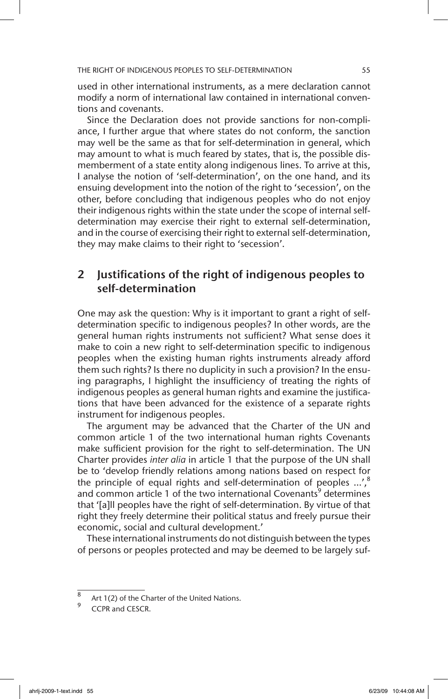used in other international instruments, as a mere declaration cannot modify a norm of international law contained in international conventions and covenants.

Since the Declaration does not provide sanctions for non-compliance, I further argue that where states do not conform, the sanction may well be the same as that for self-determination in general, which may amount to what is much feared by states, that is, the possible dismemberment of a state entity along indigenous lines. To arrive at this, I analyse the notion of 'self-determination', on the one hand, and its ensuing development into the notion of the right to 'secession', on the other, before concluding that indigenous peoples who do not enjoy their indigenous rights within the state under the scope of internal selfdetermination may exercise their right to external self-determination, and in the course of exercising their right to external self-determination, they may make claims to their right to 'secession'.

# 2 Justifications of the right of indigenous peoples to self-determination

One may ask the question: Why is it important to grant a right of selfdetermination specific to indigenous peoples? In other words, are the general human rights instruments not sufficient? What sense does it make to coin a new right to self-determination specific to indigenous peoples when the existing human rights instruments already afford them such rights? Is there no duplicity in such a provision? In the ensuing paragraphs, I highlight the insufficiency of treating the rights of indigenous peoples as general human rights and examine the justifications that have been advanced for the existence of a separate rights instrument for indigenous peoples.

The argument may be advanced that the Charter of the UN and common article 1 of the two international human rights Covenants make sufficient provision for the right to self-determination. The UN Charter provides *inter alia* in article 1 that the purpose of the UN shall be to 'develop friendly relations among nations based on respect for the principle of equal rights and self-determination of peoples ...',<sup>8</sup> and common article 1 of the two international Covenants<sup>9</sup> determines that '[a]ll peoples have the right of self-determination. By virtue of that right they freely determine their political status and freely pursue their economic, social and cultural development.'

These international instruments do not distinguish between the types of persons or peoples protected and may be deemed to be largely suf-

<sup>8</sup> Art 1(2) of the Charter of the United Nations.

CCPR and CESCR.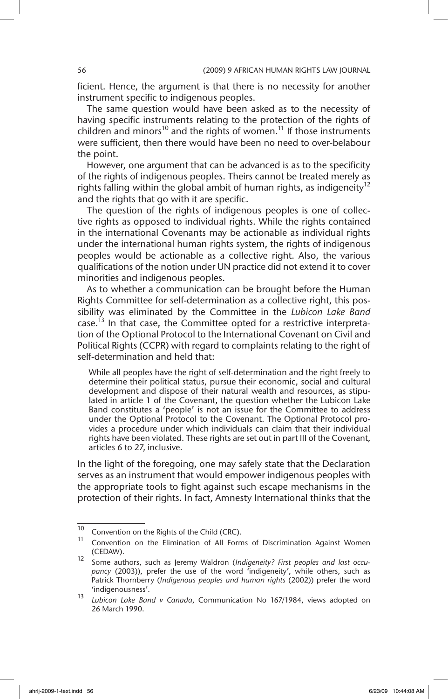ficient. Hence, the argument is that there is no necessity for another instrument specific to indigenous peoples.

The same question would have been asked as to the necessity of having specific instruments relating to the protection of the rights of children and minors<sup>10</sup> and the rights of women.<sup>11</sup> If those instruments were sufficient, then there would have been no need to over-belabour the point.

However, one argument that can be advanced is as to the specificity of the rights of indigenous peoples. Theirs cannot be treated merely as rights falling within the global ambit of human rights, as indigeneity<sup>12</sup> and the rights that go with it are specific.

The question of the rights of indigenous peoples is one of collective rights as opposed to individual rights. While the rights contained in the international Covenants may be actionable as individual rights under the international human rights system, the rights of indigenous peoples would be actionable as a collective right. Also, the various qualifications of the notion under UN practice did not extend it to cover minorities and indigenous peoples.

As to whether a communication can be brought before the Human Rights Committee for self-determination as a collective right, this possibility was eliminated by the Committee in the *Lubicon Lake Band* case.<sup>13</sup> In that case, the Committee opted for a restrictive interpretation of the Optional Protocol to the International Covenant on Civil and Political Rights (CCPR) with regard to complaints relating to the right of self-determination and held that:

While all peoples have the right of self-determination and the right freely to determine their political status, pursue their economic, social and cultural development and dispose of their natural wealth and resources, as stipulated in article 1 of the Covenant, the question whether the Lubicon Lake Band constitutes a 'people' is not an issue for the Committee to address under the Optional Protocol to the Covenant. The Optional Protocol provides a procedure under which individuals can claim that their individual rights have been violated. These rights are set out in part III of the Covenant, articles 6 to 27, inclusive.

In the light of the foregoing, one may safely state that the Declaration serves as an instrument that would empower indigenous peoples with the appropriate tools to fight against such escape mechanisms in the protection of their rights. In fact, Amnesty International thinks that the

<sup>&</sup>lt;sup>10</sup> Convention on the Rights of the Child (CRC).

Convention on the Elimination of All Forms of Discrimination Against Women (CEDAW).

<sup>12</sup> Some authors, such as Jeremy Waldron (*Indigeneity? First peoples and last occupancy* (2003)), prefer the use of the word 'indigeneity', while others, such as Patrick Thornberry (*Indigenous peoples and human rights* (2002)) prefer the word 'indigenousness'.

<sup>13</sup> *Lubicon Lake Band v Canada*, Communication No 167/1984, views adopted on 26 March 1990.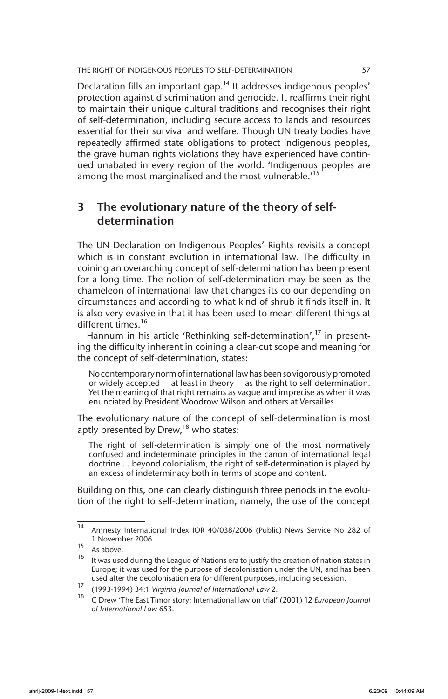Declaration fills an important gap.<sup>14</sup> It addresses indigenous peoples' protection against discrimination and genocide. It reaffirms their right to maintain their unique cultural traditions and recognises their right of self-determination, including secure access to lands and resources essential for their survival and welfare. Though UN treaty bodies have repeatedly affirmed state obligations to protect indigenous peoples, the grave human rights violations they have experienced have continued unabated in every region of the world. 'Indigenous peoples are among the most marginalised and the most vulnerable.<sup>15</sup>

# 3 The evolutionary nature of the theory of selfdetermination

The UN Declaration on Indigenous Peoples' Rights revisits a concept which is in constant evolution in international law. The difficulty in coining an overarching concept of self-determination has been present for a long time. The notion of self-determination may be seen as the chameleon of international law that changes its colour depending on circumstances and according to what kind of shrub it finds itself in. It is also very evasive in that it has been used to mean different things at different times.<sup>16</sup>

Hannum in his article 'Rethinking self-determination',<sup>17</sup> in presenting the difficulty inherent in coining a clear-cut scope and meaning for the concept of self-determination, states:

No contemporary norm of international law has been so vigorously promoted or widely accepted — at least in theory — as the right to self-determination. Yet the meaning of that right remains as vague and imprecise as when it was enunciated by President Woodrow Wilson and others at Versailles.

The evolutionary nature of the concept of self-determination is most aptly presented by Drew,  $18$  who states:

The right of self-determination is simply one of the most normatively confused and indeterminate principles in the canon of international legal doctrine … beyond colonialism, the right of self-determination is played by an excess of indeterminacy both in terms of scope and content.

Building on this, one can clearly distinguish three periods in the evolution of the right to self-determination, namely, the use of the concept

<sup>14</sup> Amnesty International Index IOR 40/038/2006 (Public) News Service No 282 of 1 November 2006.

 $\frac{15}{16}$  As above.

It was used during the League of Nations era to justify the creation of nation states in Europe; it was used for the purpose of decolonisation under the UN, and has been used after the decolonisation era for different purposes, including secession.

<sup>17</sup> (1993-1994) 34:1 *Virginia Journal of International Law* 2.

<sup>18</sup> C Drew 'The East Timor story: International law on trial' (2001) 12 *European Journal of International Law* 653.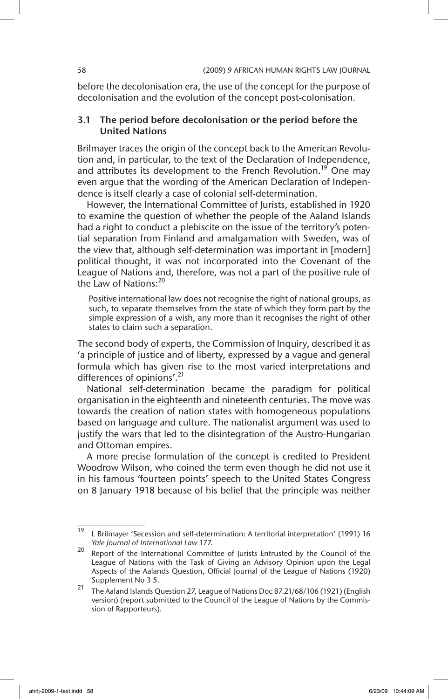before the decolonisation era, the use of the concept for the purpose of decolonisation and the evolution of the concept post-colonisation.

#### 3.1 The period before decolonisation or the period before the United Nations

Brilmayer traces the origin of the concept back to the American Revolution and, in particular, to the text of the Declaration of Independence, and attributes its development to the French Revolution.<sup>19</sup> One may even argue that the wording of the American Declaration of Independence is itself clearly a case of colonial self-determination.

However, the International Committee of Jurists, established in 1920 to examine the question of whether the people of the Aaland Islands had a right to conduct a plebiscite on the issue of the territory's potential separation from Finland and amalgamation with Sweden, was of the view that, although self-determination was important in [modern] political thought, it was not incorporated into the Covenant of the League of Nations and, therefore, was not a part of the positive rule of the Law of Nations:<sup>20</sup>

Positive international law does not recognise the right of national groups, as such, to separate themselves from the state of which they form part by the simple expression of a wish, any more than it recognises the right of other states to claim such a separation.

The second body of experts, the Commission of Inquiry, described it as 'a principle of justice and of liberty, expressed by a vague and general formula which has given rise to the most varied interpretations and differences of opinions'.<sup>21</sup>

National self-determination became the paradigm for political organisation in the eighteenth and nineteenth centuries. The move was towards the creation of nation states with homogeneous populations based on language and culture. The nationalist argument was used to justify the wars that led to the disintegration of the Austro-Hungarian and Ottoman empires.

A more precise formulation of the concept is credited to President Woodrow Wilson, who coined the term even though he did not use it in his famous 'fourteen points' speech to the United States Congress on 8 January 1918 because of his belief that the principle was neither

 $\frac{19}{19}$  L Brilmayer 'Secession and self-determination: A territorial interpretation' (1991) 16 *Yale Journal of International Law* 177.

 $20$  Report of the International Committee of Jurists Entrusted by the Council of the League of Nations with the Task of Giving an Advisory Opinion upon the Legal Aspects of the Aalands Question, Official Journal of the League of Nations (1920) Supplement No 3 5.

<sup>21</sup> The Aaland Islands Question 27, League of Nations Doc B7.21/68/106 (1921) (English version) (report submitted to the Council of the League of Nations by the Commission of Rapporteurs).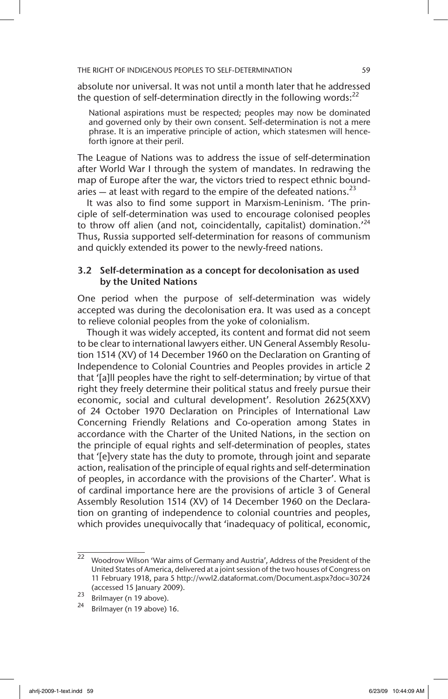absolute nor universal. It was not until a month later that he addressed the question of self-determination directly in the following words: $^{22}$ 

National aspirations must be respected; peoples may now be dominated and governed only by their own consent. Self-determination is not a mere phrase. It is an imperative principle of action, which statesmen will henceforth ignore at their peril.

The League of Nations was to address the issue of self-determination after World War I through the system of mandates. In redrawing the map of Europe after the war, the victors tried to respect ethnic boundaries  $-$  at least with regard to the empire of the defeated nations.<sup>23</sup>

It was also to find some support in Marxism-Leninism. 'The principle of self-determination was used to encourage colonised peoples to throw off alien (and not, coincidentally, capitalist) domination.<sup>'24</sup> Thus, Russia supported self-determination for reasons of communism and quickly extended its power to the newly-freed nations.

### 3.2 Self-determination as a concept for decolonisation as used by the United Nations

One period when the purpose of self-determination was widely accepted was during the decolonisation era. It was used as a concept to relieve colonial peoples from the yoke of colonialism.

Though it was widely accepted, its content and format did not seem to be clear to international lawyers either. UN General Assembly Resolution 1514 (XV) of 14 December 1960 on the Declaration on Granting of Independence to Colonial Countries and Peoples provides in article 2 that '[a]ll peoples have the right to self-determination; by virtue of that right they freely determine their political status and freely pursue their economic, social and cultural development'. Resolution 2625(XXV) of 24 October 1970 Declaration on Principles of International Law Concerning Friendly Relations and Co-operation among States in accordance with the Charter of the United Nations, in the section on the principle of equal rights and self-determination of peoples, states that '[e]very state has the duty to promote, through joint and separate action, realisation of the principle of equal rights and self-determination of peoples, in accordance with the provisions of the Charter'. What is of cardinal importance here are the provisions of article 3 of General Assembly Resolution 1514 (XV) of 14 December 1960 on the Declaration on granting of independence to colonial countries and peoples, which provides unequivocally that 'inadequacy of political, economic,

<sup>22</sup> Woodrow Wilson 'War aims of Germany and Austria', Address of the President of the United States of America, delivered at a joint session of the two houses of Congress on 11 February 1918, para 5 http://wwl2.dataformat.com/Document.aspx?doc=30724 (accessed 15 January 2009).

 $23$  Brilmayer (n 19 above).

Brilmayer (n 19 above) 16.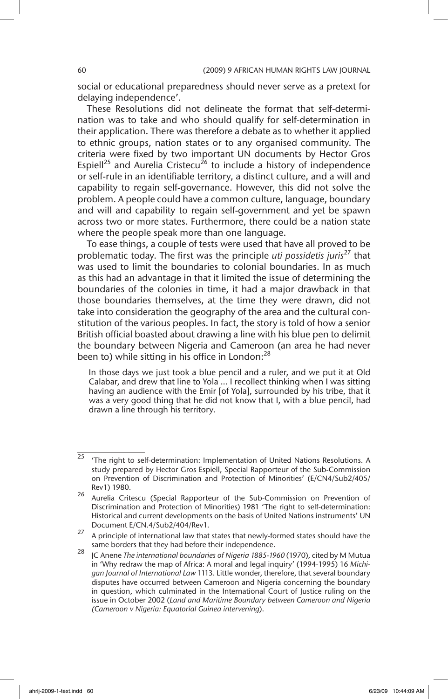social or educational preparedness should never serve as a pretext for delaying independence'.

These Resolutions did not delineate the format that self-determination was to take and who should qualify for self-determination in their application. There was therefore a debate as to whether it applied to ethnic groups, nation states or to any organised community. The criteria were fixed by two important UN documents by Hector Gros Espiell<sup>25</sup> and Aurelia Cristecu<sup>26</sup> to include a history of independence or self-rule in an identifiable territory, a distinct culture, and a will and capability to regain self-governance. However, this did not solve the problem. A people could have a common culture, language, boundary and will and capability to regain self-government and yet be spawn across two or more states. Furthermore, there could be a nation state where the people speak more than one language.

To ease things, a couple of tests were used that have all proved to be problematic today. The first was the principle *uti possidetis juris*<sup>27</sup> that was used to limit the boundaries to colonial boundaries. In as much as this had an advantage in that it limited the issue of determining the boundaries of the colonies in time, it had a major drawback in that those boundaries themselves, at the time they were drawn, did not take into consideration the geography of the area and the cultural constitution of the various peoples. In fact, the story is told of how a senior British official boasted about drawing a line with his blue pen to delimit the boundary between Nigeria and Cameroon (an area he had never been to) while sitting in his office in London:<sup>28</sup>

In those days we just took a blue pencil and a ruler, and we put it at Old Calabar, and drew that line to Yola ... I recollect thinking when I was sitting having an audience with the Emir [of Yola], surrounded by his tribe, that it was a very good thing that he did not know that I, with a blue pencil, had drawn a line through his territory.

 $25$  'The right to self-determination: Implementation of United Nations Resolutions. A study prepared by Hector Gros Espiell, Special Rapporteur of the Sub-Commission on Prevention of Discrimination and Protection of Minorities' (E/CN4/Sub2/405/ Rev1) 1980.

<sup>26</sup> Aurelia Critescu (Special Rapporteur of the Sub-Commission on Prevention of Discrimination and Protection of Minorities) 1981 'The right to self-determination: Historical and current developments on the basis of United Nations instruments' UN Document E/CN.4/Sub2/404/Rev1.

<sup>27</sup> A principle of international law that states that newly-formed states should have the same borders that they had before their independence.

<sup>28</sup> JC Anene *The international boundaries of Nigeria 1885-1960* (1970), cited by M Mutua in 'Why redraw the map of Africa: A moral and legal inquiry' (1994-1995) 16 *Michigan Journal of International Law* 1113. Little wonder, therefore, that several boundary disputes have occurred between Cameroon and Nigeria concerning the boundary in question, which culminated in the International Court of Justice ruling on the issue in October 2002 (*Land and Maritime Boundary between Cameroon and Nigeria (Cameroon v Nigeria: Equatorial Guinea intervening*).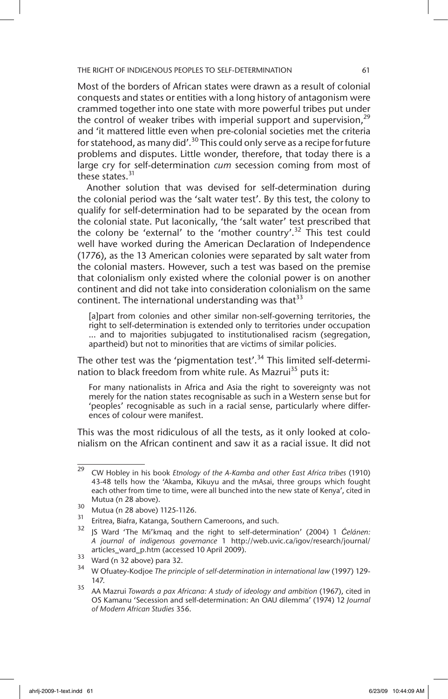Most of the borders of African states were drawn as a result of colonial conquests and states or entities with a long history of antagonism were crammed together into one state with more powerful tribes put under the control of weaker tribes with imperial support and supervision,  $2^9$ and 'it mattered little even when pre-colonial societies met the criteria for statehood, as many did'.<sup>30</sup> This could only serve as a recipe for future problems and disputes. Little wonder, therefore, that today there is a large cry for self-determination *cum* secession coming from most of these states.<sup>31</sup>

Another solution that was devised for self-determination during the colonial period was the 'salt water test'. By this test, the colony to qualify for self-determination had to be separated by the ocean from the colonial state. Put laconically, 'the 'salt water' test prescribed that the colony be 'external' to the 'mother country'.<sup>32</sup> This test could well have worked during the American Declaration of Independence (1776), as the 13 American colonies were separated by salt water from the colonial masters. However, such a test was based on the premise that colonialism only existed where the colonial power is on another continent and did not take into consideration colonialism on the same continent. The international understanding was that  $33$ 

[a]part from colonies and other similar non-self-governing territories, the right to self-determination is extended only to territories under occupation ... and to majorities subjugated to institutionalised racism (segregation, apartheid) but not to minorities that are victims of similar policies.

The other test was the 'pigmentation test'.<sup>34</sup> This limited self-determination to black freedom from white rule. As Mazrui<sup>35</sup> puts it:

For many nationalists in Africa and Asia the right to sovereignty was not merely for the nation states recognisable as such in a Western sense but for 'peoples' recognisable as such in a racial sense, particularly where differences of colour were manifest.

This was the most ridiculous of all the tests, as it only looked at colonialism on the African continent and saw it as a racial issue. It did not

<sup>29</sup> CW Hobley in his book *Etnology of the A-Kamba and other East Africa tribes* (1910) 43-48 tells how the 'Akamba, Kikuyu and the mAsai, three groups which fought each other from time to time, were all bunched into the new state of Kenya', cited in Mutua (n 28 above).

 $\frac{30}{31}$  Mutua (n 28 above) 1125-1126.

<sup>&</sup>lt;sup>31</sup> Eritrea, Biafra, Katanga, Southern Cameroons, and such.<br> $\frac{32}{16}$  1.1  $\frac{(11)(11)}{16}$  1.1  $\frac{(11)(11)}{16}$  1.1  $\frac{(11)(11)}{16}$ 

<sup>32</sup> JS Ward 'The Mi'kmaq and the right to self-determination' (2004) 1 *Ćelánen: A journal of indigenous governance* 1 http://web.uvic.ca/igov/research/journal/ articles\_ward\_p.htm (accessed 10 April 2009).

 $33$  Ward (n 32 above) para 32.

<sup>34</sup> W Ofuatey-Kodjoe *The principle of self-determination in international law* (1997) 129- 147.

<sup>35</sup> AA Mazrui *Towards a pax Africana: A study of ideology and ambition* (1967), cited in OS Kamanu 'Secession and self-determination: An OAU dilemma' (1974) 12 *Journal of Modern African Studies* 356.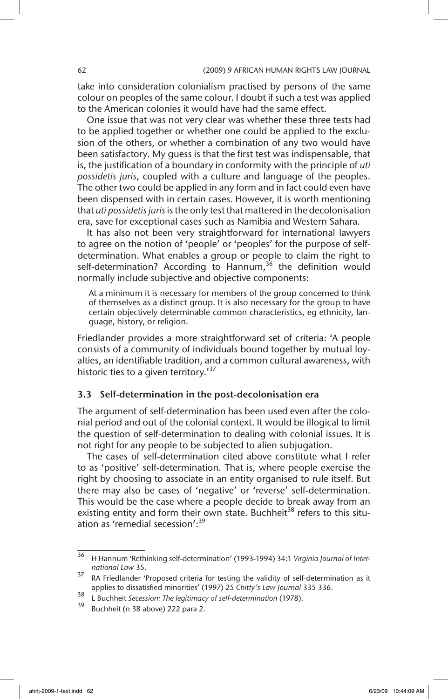take into consideration colonialism practised by persons of the same colour on peoples of the same colour. I doubt if such a test was applied to the American colonies it would have had the same effect.

One issue that was not very clear was whether these three tests had to be applied together or whether one could be applied to the exclusion of the others, or whether a combination of any two would have been satisfactory. My guess is that the first test was indispensable, that is, the justification of a boundary in conformity with the principle of *uti possidetis juris*, coupled with a culture and language of the peoples. The other two could be applied in any form and in fact could even have been dispensed with in certain cases. However, it is worth mentioning that *uti possidetis juris* is the only test that mattered in the decolonisation era, save for exceptional cases such as Namibia and Western Sahara.

It has also not been very straightforward for international lawyers to agree on the notion of 'people' or 'peoples' for the purpose of selfdetermination. What enables a group or people to claim the right to self-determination? According to Hannum,<sup>36</sup> the definition would normally include subjective and objective components:

At a minimum it is necessary for members of the group concerned to think of themselves as a distinct group. It is also necessary for the group to have certain objectively determinable common characteristics, eg ethnicity, language, history, or religion.

Friedlander provides a more straightforward set of criteria: 'A people consists of a community of individuals bound together by mutual loyalties, an identifiable tradition, and a common cultural awareness, with historic ties to a given territory.<sup>37</sup>

### 3.3 Self-determination in the post-decolonisation era

The argument of self-determination has been used even after the colonial period and out of the colonial context. It would be illogical to limit the question of self-determination to dealing with colonial issues. It is not right for any people to be subjected to alien subjugation.

The cases of self-determination cited above constitute what I refer to as 'positive' self-determination. That is, where people exercise the right by choosing to associate in an entity organised to rule itself. But there may also be cases of 'negative' or 'reverse' self-determination. This would be the case where a people decide to break away from an existing entity and form their own state. Buchheit<sup>38</sup> refers to this situation as 'remedial secession':39

<sup>36</sup> H Hannum 'Rethinking self-determination' (1993-1994) 34:1 *Virginia Journal of International Law* 35.

 $37$  RA Friedlander 'Proposed criteria for testing the validity of self-determination as it applies to dissatisfied minorities' (1997) 25 *Chitty's Law Journal* 335 336.

<sup>38</sup> L Buchheit *Secession: The legitimacy of self-determination* (1978).

Buchheit (n 38 above) 222 para 2.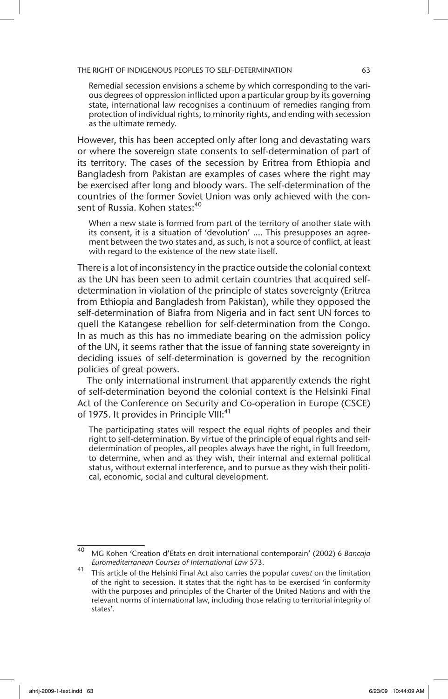Remedial secession envisions a scheme by which corresponding to the various degrees of oppression inflicted upon a particular group by its governing state, international law recognises a continuum of remedies ranging from protection of individual rights, to minority rights, and ending with secession as the ultimate remedy.

However, this has been accepted only after long and devastating wars or where the sovereign state consents to self-determination of part of its territory. The cases of the secession by Eritrea from Ethiopia and Bangladesh from Pakistan are examples of cases where the right may be exercised after long and bloody wars. The self-determination of the countries of the former Soviet Union was only achieved with the consent of Russia. Kohen states: 40

When a new state is formed from part of the territory of another state with its consent, it is a situation of 'devolution' .... This presupposes an agreement between the two states and, as such, is not a source of conflict, at least with regard to the existence of the new state itself.

There is a lot of inconsistency in the practice outside the colonial context as the UN has been seen to admit certain countries that acquired selfdetermination in violation of the principle of states sovereignty (Eritrea from Ethiopia and Bangladesh from Pakistan), while they opposed the self-determination of Biafra from Nigeria and in fact sent UN forces to quell the Katangese rebellion for self-determination from the Congo. In as much as this has no immediate bearing on the admission policy of the UN, it seems rather that the issue of fanning state sovereignty in deciding issues of self-determination is governed by the recognition policies of great powers.

The only international instrument that apparently extends the right of self-determination beyond the colonial context is the Helsinki Final Act of the Conference on Security and Co-operation in Europe (CSCE) of 1975. It provides in Principle VIII:<sup>41</sup>

The participating states will respect the equal rights of peoples and their right to self-determination. By virtue of the principle of equal rights and selfdetermination of peoples, all peoples always have the right, in full freedom, to determine, when and as they wish, their internal and external political status, without external interference, and to pursue as they wish their political, economic, social and cultural development.

<sup>40</sup> MG Kohen 'Creation d'Etats en droit international contemporain' (2002) 6 *Bancaja Euromediterranean Courses of International Law* 573.

<sup>41</sup> This article of the Helsinki Final Act also carries the popular *caveat* on the limitation of the right to secession. It states that the right has to be exercised 'in conformity with the purposes and principles of the Charter of the United Nations and with the relevant norms of international law, including those relating to territorial integrity of states'.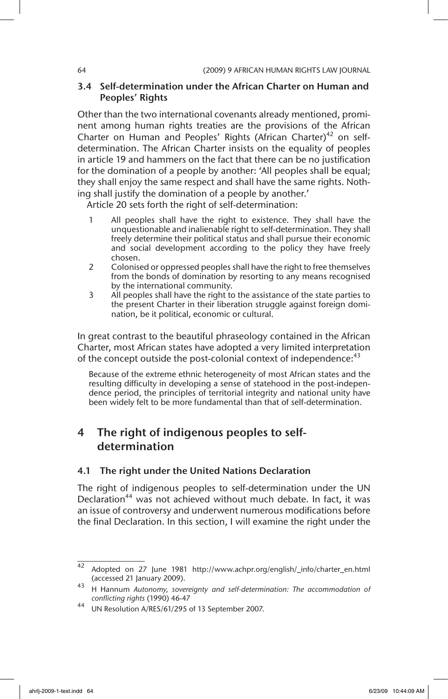#### 3.4 Self-determination under the African Charter on Human and Peoples' Rights

Other than the two international covenants already mentioned, prominent among human rights treaties are the provisions of the African Charter on Human and Peoples' Rights (African Charter)<sup>42</sup> on selfdetermination. The African Charter insists on the equality of peoples in article 19 and hammers on the fact that there can be no justification for the domination of a people by another: 'All peoples shall be equal; they shall enjoy the same respect and shall have the same rights. Nothing shall justify the domination of a people by another.'

Article 20 sets forth the right of self-determination:

- 1 All peoples shall have the right to existence. They shall have the unquestionable and inalienable right to self-determination. They shall freely determine their political status and shall pursue their economic and social development according to the policy they have freely chosen.
- 2 Colonised or oppressed peoples shall have the right to free themselves from the bonds of domination by resorting to any means recognised by the international community.
- 3 All peoples shall have the right to the assistance of the state parties to the present Charter in their liberation struggle against foreign domination, be it political, economic or cultural.

In great contrast to the beautiful phraseology contained in the African Charter, most African states have adopted a very limited interpretation of the concept outside the post-colonial context of independence:<sup>43</sup>

Because of the extreme ethnic heterogeneity of most African states and the resulting difficulty in developing a sense of statehood in the post-independence period, the principles of territorial integrity and national unity have been widely felt to be more fundamental than that of self-determination.

# 4 The right of indigenous peoples to selfdetermination

#### 4.1 The right under the United Nations Declaration

The right of indigenous peoples to self-determination under the UN Declaration<sup>44</sup> was not achieved without much debate. In fact, it was an issue of controversy and underwent numerous modifications before the final Declaration. In this section, I will examine the right under the

<sup>42</sup> Adopted on 27 June 1981 http://www.achpr.org/english/\_info/charter\_en.html (accessed 21 January 2009).

<sup>43</sup> H Hannum *Autonomy, sovereignty and self-determination: The accommodation of conflicting rights* (1990) 46-47

<sup>44</sup> UN Resolution A/RES/61/295 of 13 September 2007.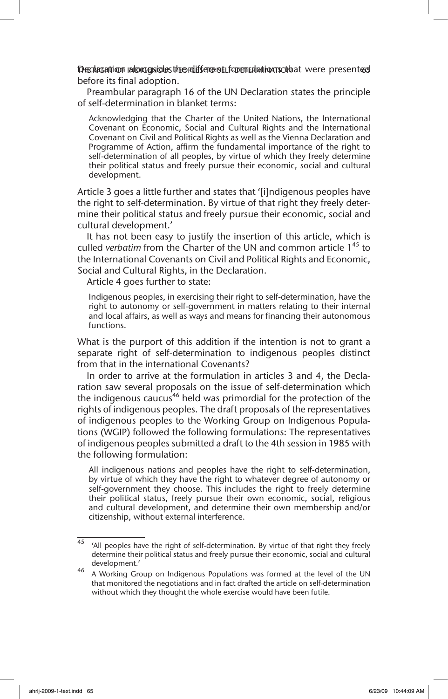Decolaration alongside sthe different formulation sothat were presented before its final adoption.

Preambular paragraph 16 of the UN Declaration states the principle of self-determination in blanket terms:

Acknowledging that the Charter of the United Nations, the International Covenant on Economic, Social and Cultural Rights and the International Covenant on Civil and Political Rights as well as the Vienna Declaration and Programme of Action, affirm the fundamental importance of the right to self-determination of all peoples, by virtue of which they freely determine their political status and freely pursue their economic, social and cultural development.

Article 3 goes a little further and states that '[i]ndigenous peoples have the right to self-determination. By virtue of that right they freely determine their political status and freely pursue their economic, social and cultural development.'

It has not been easy to justify the insertion of this article, which is culled *verbatim* from the Charter of the UN and common article 1<sup>45</sup> to the International Covenants on Civil and Political Rights and Economic, Social and Cultural Rights, in the Declaration.

Article 4 goes further to state:

Indigenous peoples, in exercising their right to self-determination, have the right to autonomy or self-government in matters relating to their internal and local affairs, as well as ways and means for financing their autonomous functions.

What is the purport of this addition if the intention is not to grant a separate right of self-determination to indigenous peoples distinct from that in the international Covenants?

In order to arrive at the formulation in articles 3 and 4, the Declaration saw several proposals on the issue of self-determination which the indigenous caucus<sup>46</sup> held was primordial for the protection of the rights of indigenous peoples. The draft proposals of the representatives of indigenous peoples to the Working Group on Indigenous Populations (WGIP) followed the following formulations: The representatives of indigenous peoples submitted a draft to the 4th session in 1985 with the following formulation:

All indigenous nations and peoples have the right to self-determination, by virtue of which they have the right to whatever degree of autonomy or self-government they choose. This includes the right to freely determine their political status, freely pursue their own economic, social, religious and cultural development, and determine their own membership and/or citizenship, without external interference.

 $45$  'All peoples have the right of self-determination. By virtue of that right they freely determine their political status and freely pursue their economic, social and cultural development.'

<sup>46</sup> A Working Group on Indigenous Populations was formed at the level of the UN that monitored the negotiations and in fact drafted the article on self-determination without which they thought the whole exercise would have been futile.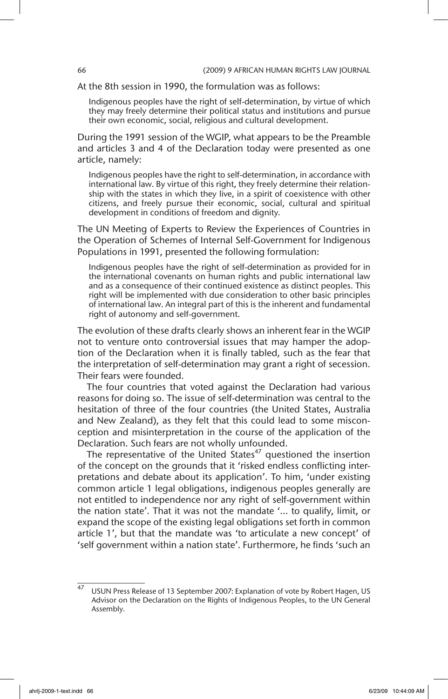At the 8th session in 1990, the formulation was as follows:

Indigenous peoples have the right of self-determination, by virtue of which they may freely determine their political status and institutions and pursue their own economic, social, religious and cultural development.

During the 1991 session of the WGIP, what appears to be the Preamble and articles 3 and 4 of the Declaration today were presented as one article, namely:

Indigenous peoples have the right to self-determination, in accordance with international law. By virtue of this right, they freely determine their relationship with the states in which they live, in a spirit of coexistence with other citizens, and freely pursue their economic, social, cultural and spiritual development in conditions of freedom and dignity.

The UN Meeting of Experts to Review the Experiences of Countries in the Operation of Schemes of Internal Self-Government for Indigenous Populations in 1991, presented the following formulation:

Indigenous peoples have the right of self-determination as provided for in the international covenants on human rights and public international law and as a consequence of their continued existence as distinct peoples. This right will be implemented with due consideration to other basic principles of international law. An integral part of this is the inherent and fundamental right of autonomy and self-government.

The evolution of these drafts clearly shows an inherent fear in the WGIP not to venture onto controversial issues that may hamper the adoption of the Declaration when it is finally tabled, such as the fear that the interpretation of self-determination may grant a right of secession. Their fears were founded.

The four countries that voted against the Declaration had various reasons for doing so. The issue of self-determination was central to the hesitation of three of the four countries (the United States, Australia and New Zealand), as they felt that this could lead to some misconception and misinterpretation in the course of the application of the Declaration. Such fears are not wholly unfounded.

The representative of the United States<sup>47</sup> questioned the insertion of the concept on the grounds that it 'risked endless conflicting interpretations and debate about its application'. To him, 'under existing common article 1 legal obligations, indigenous peoples generally are not entitled to independence nor any right of self-government within the nation state'. That it was not the mandate '… to qualify, limit, or expand the scope of the existing legal obligations set forth in common article 1', but that the mandate was 'to articulate a new concept' of 'self government within a nation state'. Furthermore, he finds 'such an

USUN Press Release of 13 September 2007: Explanation of vote by Robert Hagen, US Advisor on the Declaration on the Rights of Indigenous Peoples, to the UN General Assembly.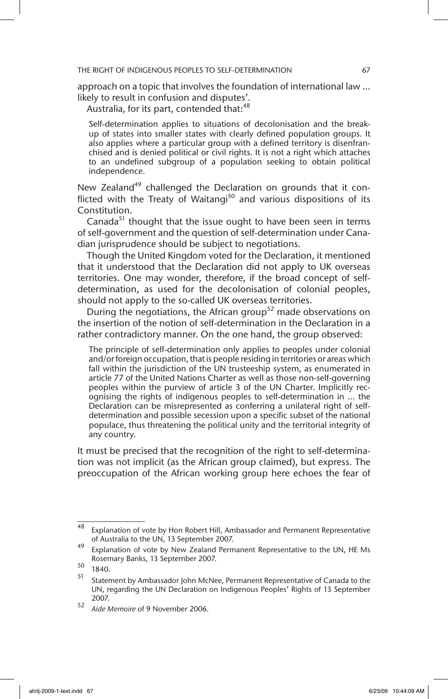approach on a topic that involves the foundation of international law … likely to result in confusion and disputes'.

Australia, for its part, contended that:<sup>48</sup>

Self-determination applies to situations of decolonisation and the breakup of states into smaller states with clearly defined population groups. It also applies where a particular group with a defined territory is disenfranchised and is denied political or civil rights. It is not a right which attaches to an undefined subgroup of a population seeking to obtain political independence.

New Zealand<sup>49</sup> challenged the Declaration on grounds that it conflicted with the Treaty of Waitangi<sup>50</sup> and various dispositions of its Constitution.

Canada $51$  thought that the issue ought to have been seen in terms of self-government and the question of self-determination under Canadian jurisprudence should be subject to negotiations.

Though the United Kingdom voted for the Declaration, it mentioned that it understood that the Declaration did not apply to UK overseas territories. One may wonder, therefore, if the broad concept of selfdetermination, as used for the decolonisation of colonial peoples, should not apply to the so-called UK overseas territories.

During the negotiations, the African group<sup>52</sup> made observations on the insertion of the notion of self-determination in the Declaration in a rather contradictory manner. On the one hand, the group observed:

The principle of self-determination only applies to peoples under colonial and/or foreign occupation, that is people residing in territories or areas which fall within the jurisdiction of the UN trusteeship system, as enumerated in article 77 of the United Nations Charter as well as those non-self-governing peoples within the purview of article 3 of the UN Charter. Implicitly recognising the rights of indigenous peoples to self-determination in ... the Declaration can be misrepresented as conferring a unilateral right of selfdetermination and possible secession upon a specific subset of the national populace, thus threatening the political unity and the territorial integrity of any country.

It must be precised that the recognition of the right to self-determination was not implicit (as the African group claimed), but express. The preoccupation of the African working group here echoes the fear of

<sup>48</sup> Explanation of vote by Hon Robert Hill, Ambassador and Permanent Representative of Australia to the UN, 13 September 2007.

<sup>49</sup> Explanation of vote by New Zealand Permanent Representative to the UN, HE Ms Rosemary Banks, 13 September 2007.

 $\frac{50}{51}$  1840.

<sup>51</sup> Statement by Ambassador John McNee, Permanent Representative of Canada to the UN, regarding the UN Declaration on Indigenous Peoples' Rights of 13 September 2007.

<sup>52</sup> *Aide Memoire* of 9 November 2006.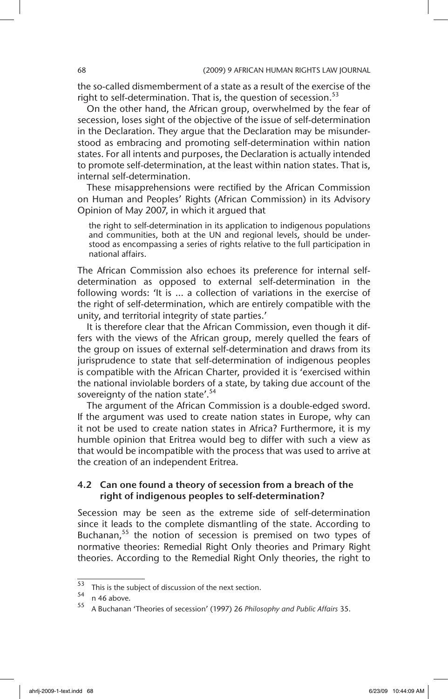the so-called dismemberment of a state as a result of the exercise of the right to self-determination. That is, the question of secession.<sup>53</sup>

On the other hand, the African group, overwhelmed by the fear of secession, loses sight of the objective of the issue of self-determination in the Declaration. They argue that the Declaration may be misunderstood as embracing and promoting self-determination within nation states. For all intents and purposes, the Declaration is actually intended to promote self-determination, at the least within nation states. That is, internal self-determination.

These misapprehensions were rectified by the African Commission on Human and Peoples' Rights (African Commission) in its Advisory Opinion of May 2007, in which it argued that

the right to self-determination in its application to indigenous populations and communities, both at the UN and regional levels, should be understood as encompassing a series of rights relative to the full participation in national affairs.

The African Commission also echoes its preference for internal selfdetermination as opposed to external self-determination in the following words: 'It is ... a collection of variations in the exercise of the right of self-determination, which are entirely compatible with the unity, and territorial integrity of state parties.'

It is therefore clear that the African Commission, even though it differs with the views of the African group, merely quelled the fears of the group on issues of external self-determination and draws from its jurisprudence to state that self-determination of indigenous peoples is compatible with the African Charter, provided it is 'exercised within the national inviolable borders of a state, by taking due account of the sovereignty of the nation state'.<sup>54</sup>

The argument of the African Commission is a double-edged sword. If the argument was used to create nation states in Europe, why can it not be used to create nation states in Africa? Furthermore, it is my humble opinion that Eritrea would beg to differ with such a view as that would be incompatible with the process that was used to arrive at the creation of an independent Eritrea.

#### 4.2 Can one found a theory of secession from a breach of the right of indigenous peoples to self-determination?

Secession may be seen as the extreme side of self-determination since it leads to the complete dismantling of the state. According to Buchanan, $55$  the notion of secession is premised on two types of normative theories: Remedial Right Only theories and Primary Right theories. According to the Remedial Right Only theories, the right to

 $rac{53}{54}$  This is the subject of discussion of the next section.

 $55$  n 46 above.

<sup>55</sup> A Buchanan 'Theories of secession' (1997) 26 *Philosophy and Public Affairs* 35.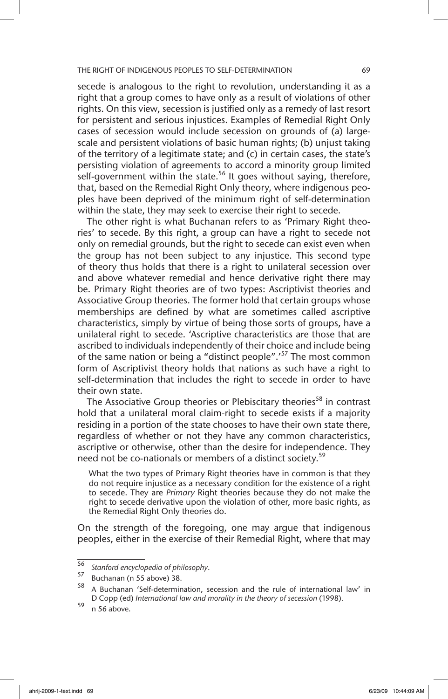secede is analogous to the right to revolution, understanding it as a right that a group comes to have only as a result of violations of other rights. On this view, secession is justified only as a remedy of last resort for persistent and serious injustices. Examples of Remedial Right Only cases of secession would include secession on grounds of (a) largescale and persistent violations of basic human rights; (b) unjust taking of the territory of a legitimate state; and (c) in certain cases, the state's persisting violation of agreements to accord a minority group limited self-government within the state.<sup>56</sup> It goes without saying, therefore, that, based on the Remedial Right Only theory, where indigenous peoples have been deprived of the minimum right of self-determination within the state, they may seek to exercise their right to secede.

The other right is what Buchanan refers to as 'Primary Right theories' to secede. By this right, a group can have a right to secede not only on remedial grounds, but the right to secede can exist even when the group has not been subject to any injustice. This second type of theory thus holds that there is a right to unilateral secession over and above whatever remedial and hence derivative right there may be. Primary Right theories are of two types: Ascriptivist theories and Associative Group theories. The former hold that certain groups whose memberships are defined by what are sometimes called ascriptive characteristics, simply by virtue of being those sorts of groups, have a unilateral right to secede. 'Ascriptive characteristics are those that are ascribed to individuals independently of their choice and include being of the same nation or being a "distinct people".'57 The most common form of Ascriptivist theory holds that nations as such have a right to self-determination that includes the right to secede in order to have their own state.

The Associative Group theories or Plebiscitary theories<sup>58</sup> in contrast hold that a unilateral moral claim-right to secede exists if a majority residing in a portion of the state chooses to have their own state there, regardless of whether or not they have any common characteristics, ascriptive or otherwise, other than the desire for independence. They need not be co-nationals or members of a distinct society.<sup>59</sup>

What the two types of Primary Right theories have in common is that they do not require injustice as a necessary condition for the existence of a right to secede. They are *Primary* Right theories because they do not make the right to secede derivative upon the violation of other, more basic rights, as the Remedial Right Only theories do.

On the strength of the foregoing, one may argue that indigenous peoples, either in the exercise of their Remedial Right, where that may

<sup>56</sup> *Stanford encyclopedia of philosophy*.

 $\frac{57}{58}$  Buchanan (n 55 above) 38.

<sup>58</sup> A Buchanan 'Self-determination, secession and the rule of international law' in D Copp (ed) *International law and morality in the theory of secession* (1998).

 $59$  n 56 above.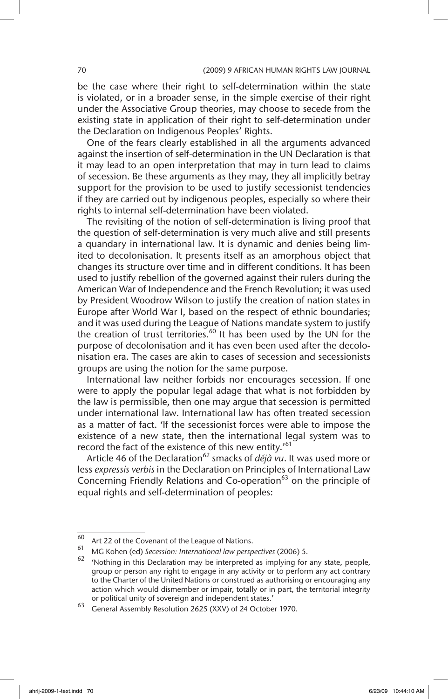be the case where their right to self-determination within the state is violated, or in a broader sense, in the simple exercise of their right under the Associative Group theories, may choose to secede from the existing state in application of their right to self-determination under the Declaration on Indigenous Peoples' Rights.

One of the fears clearly established in all the arguments advanced against the insertion of self-determination in the UN Declaration is that it may lead to an open interpretation that may in turn lead to claims of secession. Be these arguments as they may, they all implicitly betray support for the provision to be used to justify secessionist tendencies if they are carried out by indigenous peoples, especially so where their rights to internal self-determination have been violated.

The revisiting of the notion of self-determination is living proof that the question of self-determination is very much alive and still presents a quandary in international law. It is dynamic and denies being limited to decolonisation. It presents itself as an amorphous object that changes its structure over time and in different conditions. It has been used to justify rebellion of the governed against their rulers during the American War of Independence and the French Revolution; it was used by President Woodrow Wilson to justify the creation of nation states in Europe after World War I, based on the respect of ethnic boundaries; and it was used during the League of Nations mandate system to justify the creation of trust territories.<sup>60</sup> It has been used by the UN for the purpose of decolonisation and it has even been used after the decolonisation era. The cases are akin to cases of secession and secessionists groups are using the notion for the same purpose.

International law neither forbids nor encourages secession. If one were to apply the popular legal adage that what is not forbidden by the law is permissible, then one may argue that secession is permitted under international law. International law has often treated secession as a matter of fact. 'If the secessionist forces were able to impose the existence of a new state, then the international legal system was to record the fact of the existence of this new entity.'<sup>61</sup>

Article 46 of the Declaration<sup>62</sup> smacks of *déjà vu*. It was used more or less *expressis verbis* in the Declaration on Principles of International Law Concerning Friendly Relations and Co-operation $63$  on the principle of equal rights and self-determination of peoples:

 $\frac{60}{61}$  Art 22 of the Covenant of the League of Nations.

<sup>61</sup> MG Kohen (ed) *Secession: International law perspectives* (2006) 5.

 $62$  'Nothing in this Declaration may be interpreted as implying for any state, people, group or person any right to engage in any activity or to perform any act contrary to the Charter of the United Nations or construed as authorising or encouraging any action which would dismember or impair, totally or in part, the territorial integrity or political unity of sovereign and independent states.'

<sup>63</sup> General Assembly Resolution 2625 (XXV) of 24 October 1970.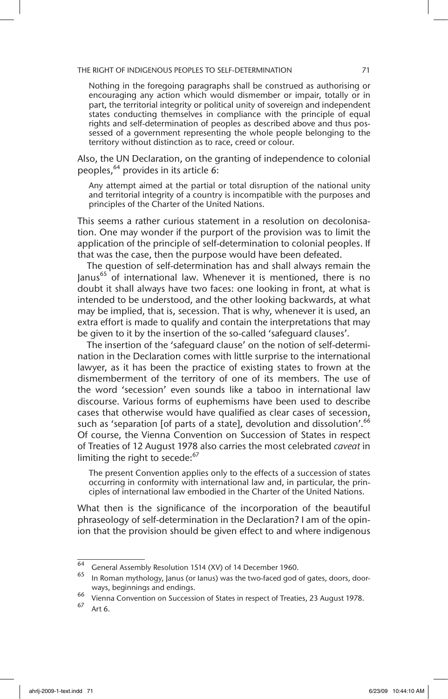Nothing in the foregoing paragraphs shall be construed as authorising or encouraging any action which would dismember or impair, totally or in part, the territorial integrity or political unity of sovereign and independent states conducting themselves in compliance with the principle of equal rights and self-determination of peoples as described above and thus possessed of a government representing the whole people belonging to the territory without distinction as to race, creed or colour.

Also, the UN Declaration, on the granting of independence to colonial peoples,  $64$  provides in its article 6:

Any attempt aimed at the partial or total disruption of the national unity and territorial integrity of a country is incompatible with the purposes and principles of the Charter of the United Nations.

This seems a rather curious statement in a resolution on decolonisation. One may wonder if the purport of the provision was to limit the application of the principle of self-determination to colonial peoples. If that was the case, then the purpose would have been defeated.

The question of self-determination has and shall always remain the Janus<sup>65</sup> of international law. Whenever it is mentioned, there is no doubt it shall always have two faces: one looking in front, at what is intended to be understood, and the other looking backwards, at what may be implied, that is, secession. That is why, whenever it is used, an extra effort is made to qualify and contain the interpretations that may be given to it by the insertion of the so-called 'safeguard clauses'.

The insertion of the 'safeguard clause' on the notion of self-determination in the Declaration comes with little surprise to the international lawyer, as it has been the practice of existing states to frown at the dismemberment of the territory of one of its members. The use of the word 'secession' even sounds like a taboo in international law discourse. Various forms of euphemisms have been used to describe cases that otherwise would have qualified as clear cases of secession, such as 'separation [of parts of a state], devolution and dissolution'.<sup>66</sup> Of course, the Vienna Convention on Succession of States in respect of Treaties of 12 August 1978 also carries the most celebrated *caveat* in limiting the right to secede:<sup>67</sup>

The present Convention applies only to the effects of a succession of states occurring in conformity with international law and, in particular, the principles of international law embodied in the Charter of the United Nations.

What then is the significance of the incorporation of the beautiful phraseology of self-determination in the Declaration? I am of the opinion that the provision should be given effect to and where indigenous

 $\frac{64}{64}$  General Assembly Resolution 1514 (XV) of 14 December 1960.

In Roman mythology, Janus (or Ianus) was the two-faced god of gates, doors, doorways, beginnings and endings.

<sup>66</sup> Vienna Convention on Succession of States in respect of Treaties, 23 August 1978.

Art 6.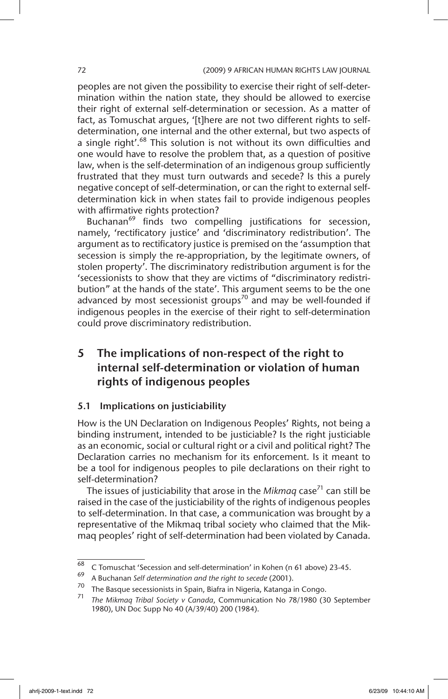peoples are not given the possibility to exercise their right of self-determination within the nation state, they should be allowed to exercise their right of external self-determination or secession. As a matter of fact, as Tomuschat argues, '[t]here are not two different rights to selfdetermination, one internal and the other external, but two aspects of a single right'.<sup>68</sup> This solution is not without its own difficulties and one would have to resolve the problem that, as a question of positive law, when is the self-determination of an indigenous group sufficiently frustrated that they must turn outwards and secede? Is this a purely negative concept of self-determination, or can the right to external selfdetermination kick in when states fail to provide indigenous peoples with affirmative rights protection?

Buchanan<sup>69</sup> finds two compelling justifications for secession, namely, 'rectificatory justice' and 'discriminatory redistribution'. The argument as to rectificatory justice is premised on the 'assumption that secession is simply the re-appropriation, by the legitimate owners, of stolen property'. The discriminatory redistribution argument is for the 'secessionists to show that they are victims of "discriminatory redistribution" at the hands of the state'. This argument seems to be the one advanced by most secessionist groups<sup>70</sup> and may be well-founded if indigenous peoples in the exercise of their right to self-determination could prove discriminatory redistribution.

# 5 The implications of non-respect of the right to internal self-determination or violation of human rights of indigenous peoples

### 5.1 Implications on justiciability

How is the UN Declaration on Indigenous Peoples' Rights, not being a binding instrument, intended to be justiciable? Is the right justiciable as an economic, social or cultural right or a civil and political right? The Declaration carries no mechanism for its enforcement. Is it meant to be a tool for indigenous peoples to pile declarations on their right to self-determination?

The issues of justiciability that arose in the *Mikmaq* case<sup>71</sup> can still be raised in the case of the justiciability of the rights of indigenous peoples to self-determination. In that case, a communication was brought by a representative of the Mikmaq tribal society who claimed that the Mikmaq peoples' right of self-determination had been violated by Canada.

 $\frac{68}{2}$  C Tomuschat 'Secession and self-determination' in Kohen (n 61 above) 23-45.

<sup>69</sup> A Buchanan *Self determination and the right to secede* (2001).

<sup>&</sup>lt;sup>70</sup> The Basque secessionists in Spain, Biafra in Nigeria, Katanga in Congo.<br><sup>71</sup> The *Little Congoiner* in Contract in Congoiner in the Congoiner in the Congoiner in the Congoiner in the Congoiner

<sup>71</sup> *The Mikmaq Tribal Society v Canada*, Communication No 78/1980 (30 September 1980), UN Doc Supp No 40 (A/39/40) 200 (1984).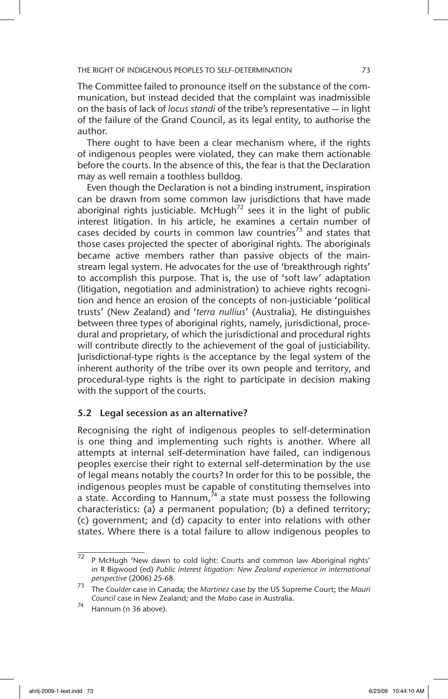The Committee failed to pronounce itself on the substance of the communication, but instead decided that the complaint was inadmissible on the basis of lack of *locus standi* of the tribe's representative — in light of the failure of the Grand Council, as its legal entity, to authorise the author.

There ought to have been a clear mechanism where, if the rights of indigenous peoples were violated, they can make them actionable before the courts. In the absence of this, the fear is that the Declaration may as well remain a toothless bulldog.

Even though the Declaration is not a binding instrument, inspiration can be drawn from some common law jurisdictions that have made aboriginal rights justiciable. McHugh<sup>72</sup> sees it in the light of public interest litigation. In his article, he examines a certain number of cases decided by courts in common law countries<sup>73</sup> and states that those cases projected the specter of aboriginal rights. The aboriginals became active members rather than passive objects of the mainstream legal system. He advocates for the use of 'breakthrough rights' to accomplish this purpose. That is, the use of 'soft law' adaptation (litigation, negotiation and administration) to achieve rights recognition and hence an erosion of the concepts of non-justiciable 'political trusts' (New Zealand) and '*terra nullius*' (Australia). He distinguishes between three types of aboriginal rights, namely, jurisdictional, procedural and proprietary, of which the jurisdictional and procedural rights will contribute directly to the achievement of the goal of justiciability. Jurisdictional-type rights is the acceptance by the legal system of the inherent authority of the tribe over its own people and territory, and procedural-type rights is the right to participate in decision making with the support of the courts.

#### 5.2 Legal secession as an alternative?

Recognising the right of indigenous peoples to self-determination is one thing and implementing such rights is another. Where all attempts at internal self-determination have failed, can indigenous peoples exercise their right to external self-determination by the use of legal means notably the courts? In order for this to be possible, the indigenous peoples must be capable of constituting themselves into a state. According to Hannum, $^{\lambda_4}$  a state must possess the following characteristics: (a) a permanent population; (b) a defined territory; (c) government; and (d) capacity to enter into relations with other states. Where there is a total failure to allow indigenous peoples to

 $\overline{72}$  P McHugh 'New dawn to cold light: Courts and common law Aboriginal rights' in R Bigwood (ed) *Public interest litigation: New Zealand experience in international perspective* (2006) 25-68.

<sup>73</sup> The *Coulder* case in Canada; the *Martinez* case by the US Supreme Court; the *Mauri Council* case in New Zealand; and the *Mabo* case in Australia.

Hannum (n 36 above).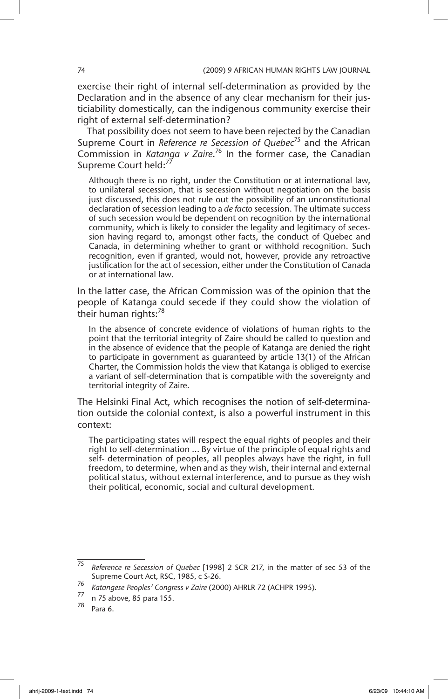exercise their right of internal self-determination as provided by the Declaration and in the absence of any clear mechanism for their justiciability domestically, can the indigenous community exercise their right of external self-determination?

That possibility does not seem to have been rejected by the Canadian Supreme Court in *Reference re Secession of Quebec<sup>75</sup>* and the African Commission in *Katanga v Zaire*. 76 In the former case, the Canadian Supreme Court held:<sup>77</sup>

Although there is no right, under the Constitution or at international law, to unilateral secession, that is secession without negotiation on the basis just discussed, this does not rule out the possibility of an unconstitutional declaration of secession leading to a *de facto* secession. The ultimate success of such secession would be dependent on recognition by the international community, which is likely to consider the legality and legitimacy of secession having regard to, amongst other facts, the conduct of Quebec and Canada, in determining whether to grant or withhold recognition. Such recognition, even if granted, would not, however, provide any retroactive justification for the act of secession, either under the Constitution of Canada or at international law.

In the latter case, the African Commission was of the opinion that the people of Katanga could secede if they could show the violation of their human rights:<sup>78</sup>

In the absence of concrete evidence of violations of human rights to the point that the territorial integrity of Zaire should be called to question and in the absence of evidence that the people of Katanga are denied the right to participate in government as guaranteed by article 13(1) of the African Charter, the Commission holds the view that Katanga is obliged to exercise a variant of self-determination that is compatible with the sovereignty and territorial integrity of Zaire.

The Helsinki Final Act, which recognises the notion of self-determination outside the colonial context, is also a powerful instrument in this context:

The participating states will respect the equal rights of peoples and their right to self-determination ... By virtue of the principle of equal rights and self- determination of peoples, all peoples always have the right, in full freedom, to determine, when and as they wish, their internal and external political status, without external interference, and to pursue as they wish their political, economic, social and cultural development.

<sup>75</sup> *Reference re Secession of Quebec* [1998] 2 SCR 217, in the matter of sec 53 of the Supreme Court Act, RSC, 1985, c S-26.

<sup>76</sup> *Katangese Peoples' Congress v Zaire* (2000) AHRLR 72 (ACHPR 1995).

 $\frac{77}{78}$  n 75 above, 85 para 155.

Para 6.